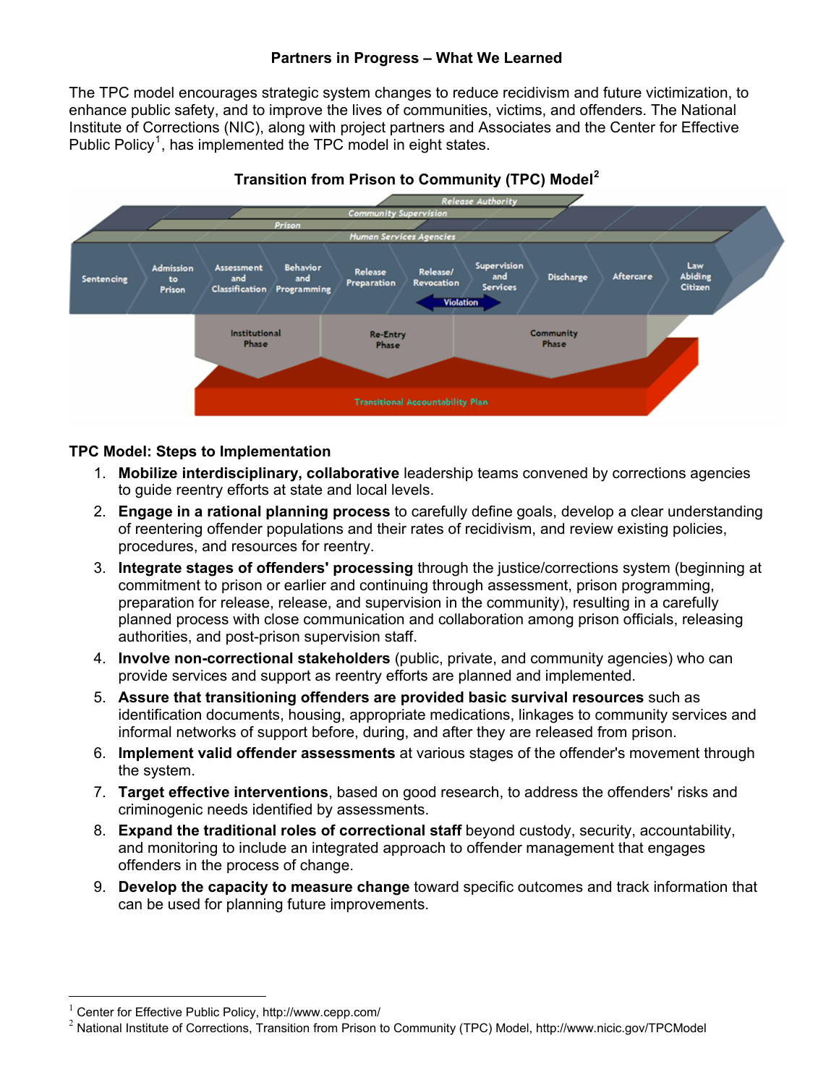### **Partners in Progress – What We Learned**

The TPC model encourages strategic system changes to reduce recidivism and future victimization, to enhance public safety, and to improve the lives of communities, victims, and offenders. The National Institute of Corrections (NIC), along with project partners and Associates and the Center for Effective Public Policy<sup>[1](#page-0-0)</sup>, has implemented the TPC model in eight states.



## **Transition from Prison to Community (TPC) Model[2](#page-0-1)**

## **TPC Model: Steps to Implementation**

- 1. **Mobilize interdisciplinary, collaborative** leadership teams convened by corrections agencies to guide reentry efforts at state and local levels.
- 2. **Engage in a rational planning process** to carefully define goals, develop a clear understanding of reentering offender populations and their rates of recidivism, and review existing policies, procedures, and resources for reentry.
- 3. **Integrate stages of offenders' processing** through the justice/corrections system (beginning at commitment to prison or earlier and continuing through assessment, prison programming, preparation for release, release, and supervision in the community), resulting in a carefully planned process with close communication and collaboration among prison officials, releasing authorities, and post-prison supervision staff.
- 4. **Involve non-correctional stakeholders** (public, private, and community agencies) who can provide services and support as reentry efforts are planned and implemented.
- 5. **Assure that transitioning offenders are provided basic survival resources** such as identification documents, housing, appropriate medications, linkages to community services and informal networks of support before, during, and after they are released from prison.
- 6. **Implement valid offender assessments** at various stages of the offender's movement through the system.
- 7. **Target effective interventions**, based on good research, to address the offenders' risks and criminogenic needs identified by assessments.
- 8. **Expand the traditional roles of correctional staff** beyond custody, security, accountability, and monitoring to include an integrated approach to offender management that engages offenders in the process of change.
- 9. **Develop the capacity to measure change** toward specific outcomes and track information that can be used for planning future improvements.

 $\overline{a}$ 

<span id="page-0-0"></span><sup>1</sup> Center for Effective Public Policy, http://www.cepp.com/

<span id="page-0-1"></span><sup>&</sup>lt;sup>2</sup> National Institute of Corrections, Transition from Prison to Community (TPC) Model, http://www.nicic.gov/TPCModel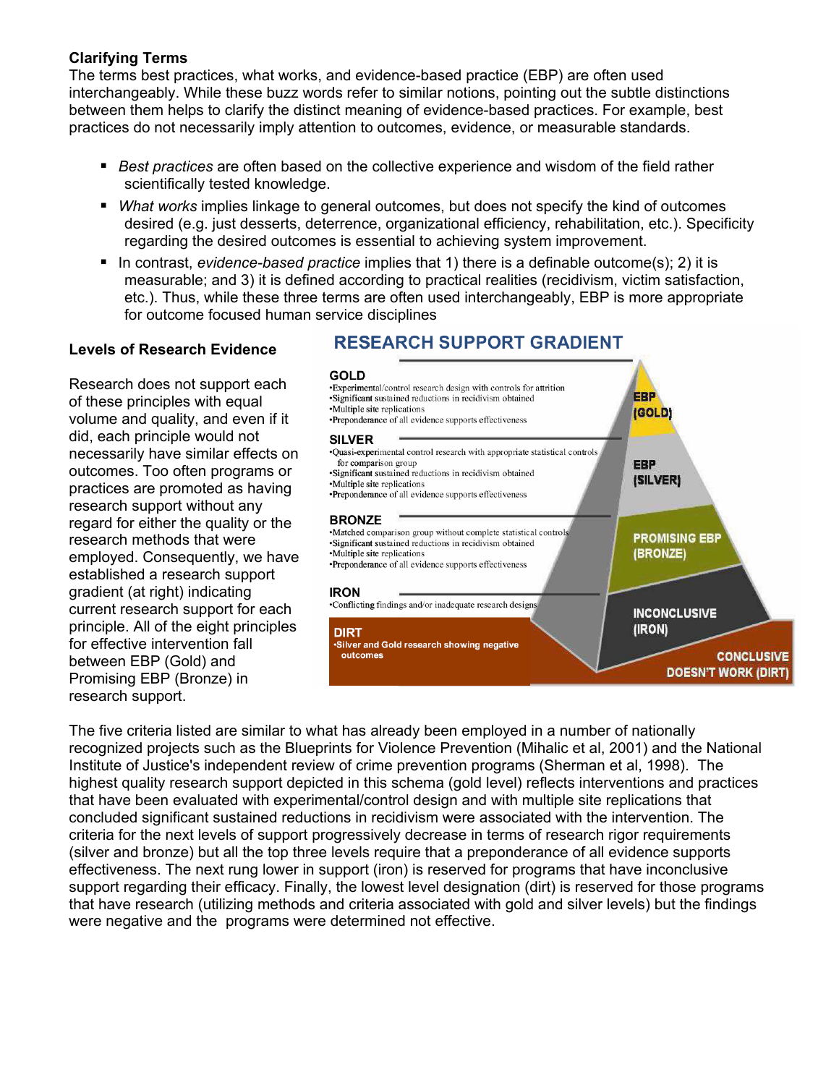## **Clarifying Terms**

The terms best practices, what works, and evidence-based practice (EBP) are often used interchangeably. While these buzz words refer to similar notions, pointing out the subtle distinctions between them helps to clarify the distinct meaning of evidence-based practices. For example, best practices do not necessarily imply attention to outcomes, evidence, or measurable standards.

- *Best practices* are often based on the collective experience and wisdom of the field rather scientifically tested knowledge.
- *What works* implies linkage to general outcomes, but does not specify the kind of outcomes desired (e.g. just desserts, deterrence, organizational efficiency, rehabilitation, etc.). Specificity regarding the desired outcomes is essential to achieving system improvement.
- In contrast, *evidence-based practice* implies that 1) there is a definable outcome(s); 2) it is measurable; and 3) it is defined according to practical realities (recidivism, victim satisfaction, etc.). Thus, while these three terms are often used interchangeably, EBP is more appropriate for outcome focused human service disciplines

## **Levels of Research Evidence**

Research does not support each of these principles with equal volume and quality, and even if it did, each principle would not necessarily have similar effects on outcomes. Too often programs or practices are promoted as having research support without any regard for either the quality or the research methods that were employed. Consequently, we have established a research support gradient (at right) indicating current research support for each principle. All of the eight principles for effective intervention fall between EBP (Gold) and Promising EBP (Bronze) in research support.

# **RESEARCH SUPPORT GRADIENT**



The five criteria listed are similar to what has already been employed in a number of nationally recognized projects such as the Blueprints for Violence Prevention (Mihalic et al, 2001) and the National Institute of Justice's independent review of crime prevention programs (Sherman et al, 1998). The highest quality research support depicted in this schema (gold level) reflects interventions and practices that have been evaluated with experimental/control design and with multiple site replications that concluded significant sustained reductions in recidivism were associated with the intervention. The criteria for the next levels of support progressively decrease in terms of research rigor requirements (silver and bronze) but all the top three levels require that a preponderance of all evidence supports effectiveness. The next rung lower in support (iron) is reserved for programs that have inconclusive support regarding their efficacy. Finally, the lowest level designation (dirt) is reserved for those programs that have research (utilizing methods and criteria associated with gold and silver levels) but the findings were negative and the programs were determined not effective.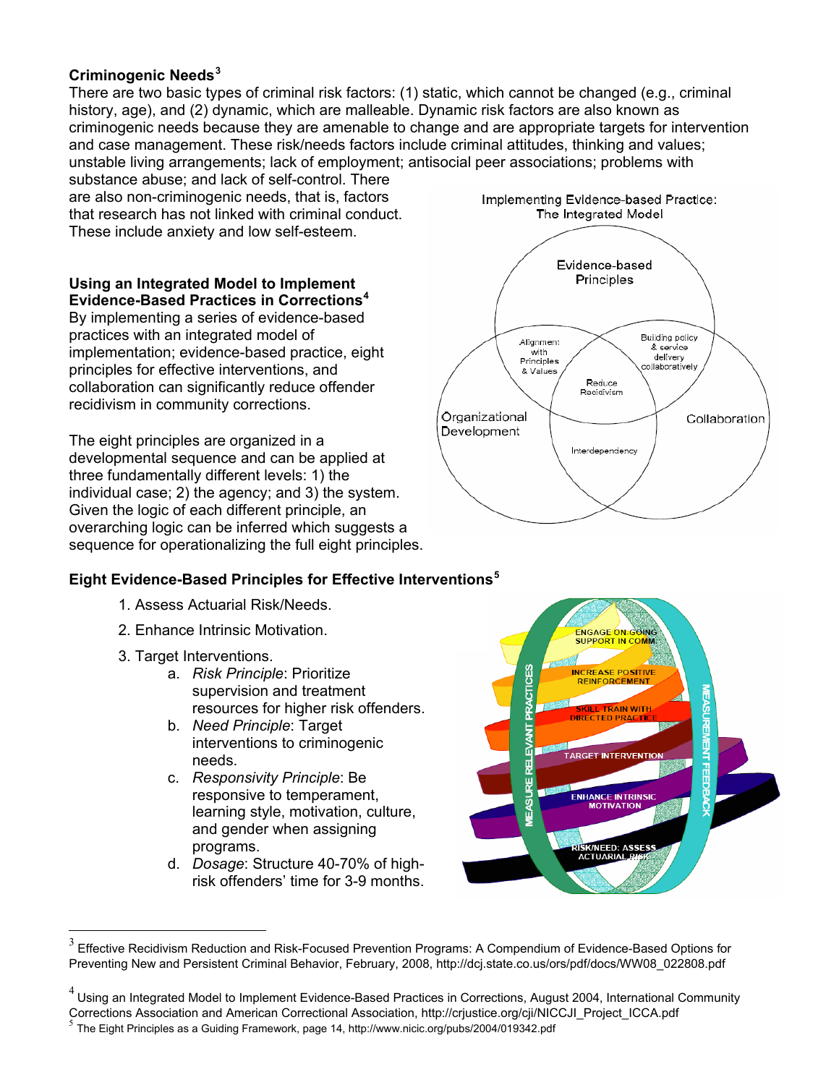# **Criminogenic Needs[3](#page-2-0)**

There are two basic types of criminal risk factors: (1) static, which cannot be changed (e.g., criminal history, age), and (2) dynamic, which are malleable. Dynamic risk factors are also known as criminogenic needs because they are amenable to change and are appropriate targets for intervention and case management. These risk/needs factors include criminal attitudes, thinking and values; unstable living arrangements; lack of employment; antisocial peer associations; problems with

substance abuse; and lack of self-control. There are also non-criminogenic needs, that is, factors that research has not linked with criminal conduct. These include anxiety and low self-esteem.

## **Using an Integrated Model to Implement Evidence-Based Practices in Corrections[4](#page-2-1)**

By implementing a series of evidence-based practices with an integrated model of implementation; evidence-based practice, eight principles for effective interventions, and collaboration can significantly reduce offender recidivism in community corrections.

The eight principles are organized in a developmental sequence and can be applied at three fundamentally different levels: 1) the individual case; 2) the agency; and 3) the system. Given the logic of each different principle, an overarching logic can be inferred which suggests a sequence for operationalizing the full eight principles.

# **Eight Evidence-Based Principles for Effective Interventions[5](#page-2-2)**

- 1. Assess Actuarial Risk/Needs.
- 2. Enhance Intrinsic Motivation.
- 3. Target Interventions.

 $\overline{a}$ 

- a. *Risk Principle*: Prioritize supervision and treatment resources for higher risk offenders.
- b. *Need Principle*: Target interventions to criminogenic needs.
- c. *Responsivity Principle*: Be responsive to temperament, learning style, motivation, culture, and gender when assigning programs.
- d. *Dosage*: Structure 40-70% of highrisk offenders' time for 3-9 months.





<span id="page-2-0"></span>Effective Recidivism Reduction and Risk-Focused Prevention Programs: A Compendium of Evidence-Based Options for Preventing New and Persistent Criminal Behavior, February, 2008, http://dcj.state.co.us/ors/pdf/docs/WW08\_022808.pdf

<span id="page-2-2"></span><span id="page-2-1"></span> $4$  Using an Integrated Model to Implement Evidence-Based Practices in Corrections, August 2004, International Community Corrections Association and American Correctional Association, http://crjustice.org/cji/NICCJI\_Project\_ICCA.pdf<br><sup>5</sup> The Eight Principles as a Guiding Framework, page 14, http://www.nicic.org/pubs/2004/019342.pdf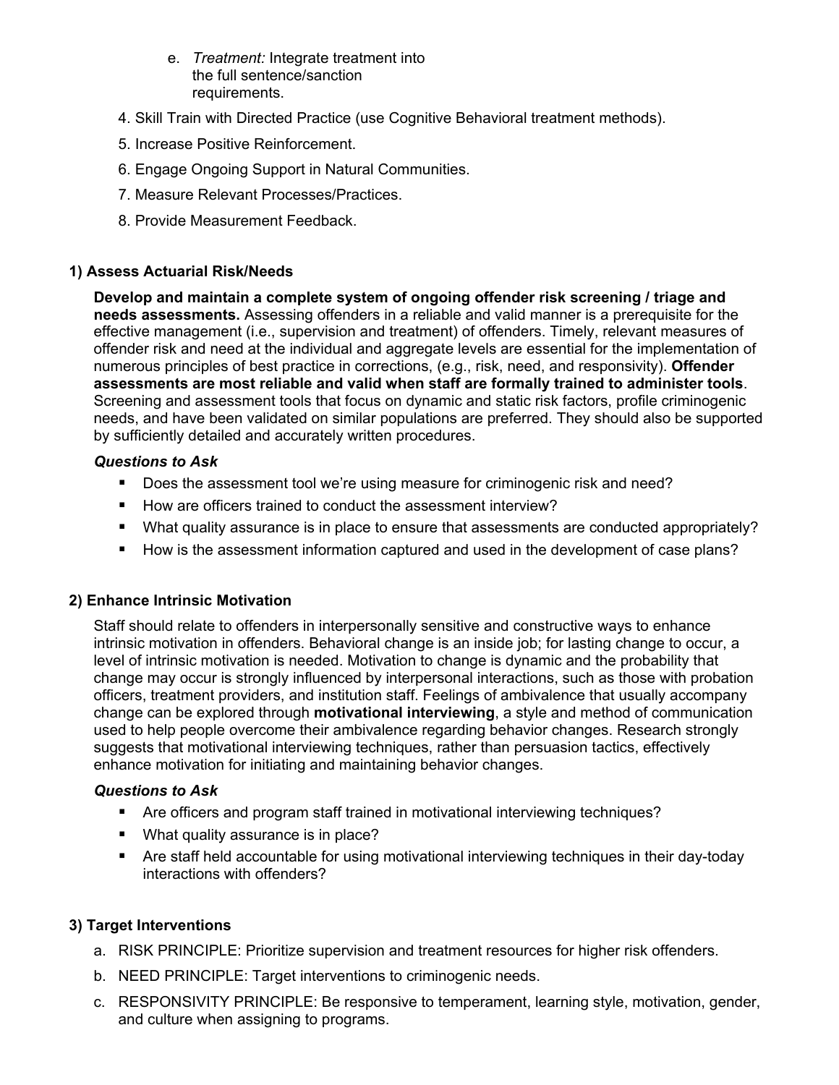- e. *Treatment:* Integrate treatment into the full sentence/sanction requirements.
- 4. Skill Train with Directed Practice (use Cognitive Behavioral treatment methods).
- 5. Increase Positive Reinforcement.
- 6. Engage Ongoing Support in Natural Communities.
- 7. Measure Relevant Processes/Practices.
- 8. Provide Measurement Feedback.

## **1) Assess Actuarial Risk/Needs**

**Develop and maintain a complete system of ongoing offender risk screening / triage and needs assessments.** Assessing offenders in a reliable and valid manner is a prerequisite for the effective management (i.e., supervision and treatment) of offenders. Timely, relevant measures of offender risk and need at the individual and aggregate levels are essential for the implementation of numerous principles of best practice in corrections, (e.g., risk, need, and responsivity). **Offender assessments are most reliable and valid when staff are formally trained to administer tools**. Screening and assessment tools that focus on dynamic and static risk factors, profile criminogenic needs, and have been validated on similar populations are preferred. They should also be supported by sufficiently detailed and accurately written procedures.

## *Questions to Ask*

- Does the assessment tool we're using measure for criminogenic risk and need?
- How are officers trained to conduct the assessment interview?
- What quality assurance is in place to ensure that assessments are conducted appropriately?
- How is the assessment information captured and used in the development of case plans?

## **2) Enhance Intrinsic Motivation**

Staff should relate to offenders in interpersonally sensitive and constructive ways to enhance intrinsic motivation in offenders. Behavioral change is an inside job; for lasting change to occur, a level of intrinsic motivation is needed. Motivation to change is dynamic and the probability that change may occur is strongly influenced by interpersonal interactions, such as those with probation officers, treatment providers, and institution staff. Feelings of ambivalence that usually accompany change can be explored through **motivational interviewing**, a style and method of communication used to help people overcome their ambivalence regarding behavior changes. Research strongly suggests that motivational interviewing techniques, rather than persuasion tactics, effectively enhance motivation for initiating and maintaining behavior changes.

## *Questions to Ask*

- **Are officers and program staff trained in motivational interviewing techniques?**
- What quality assurance is in place?
- Are staff held accountable for using motivational interviewing techniques in their day-today interactions with offenders?

# **3) Target Interventions**

- a. RISK PRINCIPLE: Prioritize supervision and treatment resources for higher risk offenders.
- b. NEED PRINCIPLE: Target interventions to criminogenic needs.
- c. RESPONSIVITY PRINCIPLE: Be responsive to temperament, learning style, motivation, gender, and culture when assigning to programs.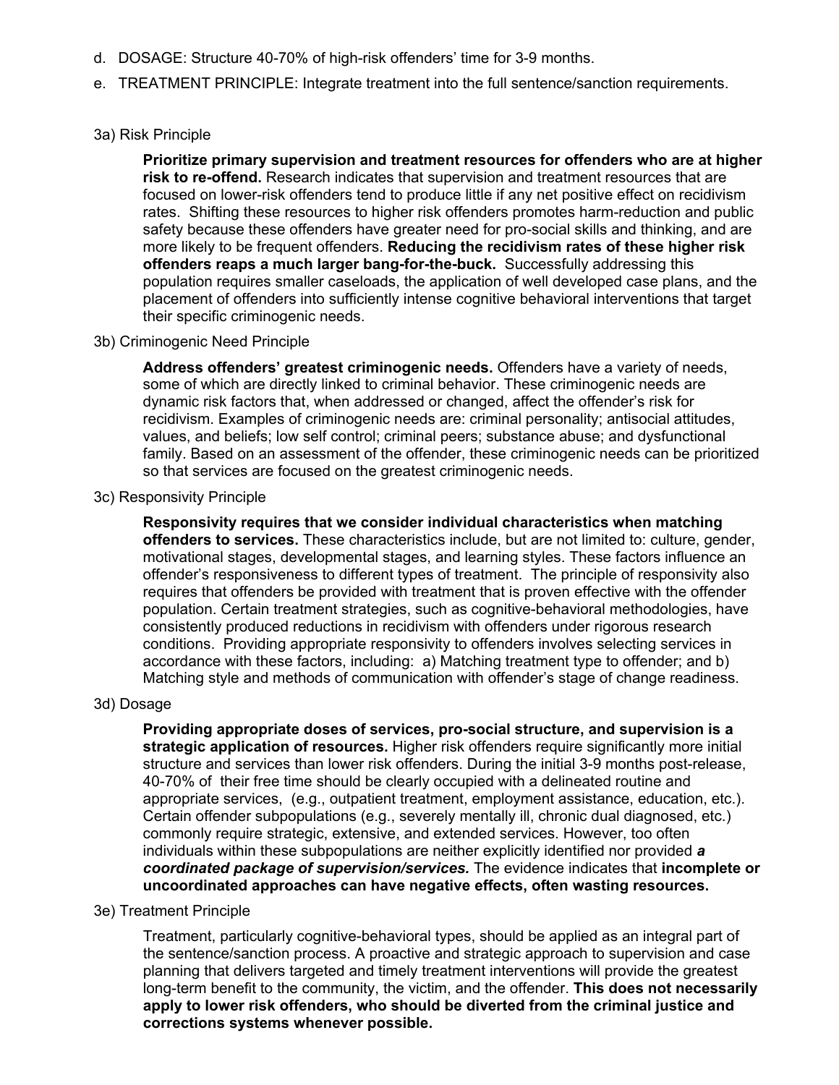- d. DOSAGE: Structure 40-70% of high-risk offenders' time for 3-9 months.
- e. TREATMENT PRINCIPLE: Integrate treatment into the full sentence/sanction requirements.

### 3a) Risk Principle

**Prioritize primary supervision and treatment resources for offenders who are at higher risk to re-offend.** Research indicates that supervision and treatment resources that are focused on lower-risk offenders tend to produce little if any net positive effect on recidivism rates. Shifting these resources to higher risk offenders promotes harm-reduction and public safety because these offenders have greater need for pro-social skills and thinking, and are more likely to be frequent offenders. **Reducing the recidivism rates of these higher risk offenders reaps a much larger bang-for-the-buck.** Successfully addressing this population requires smaller caseloads, the application of well developed case plans, and the placement of offenders into sufficiently intense cognitive behavioral interventions that target their specific criminogenic needs.

#### 3b) Criminogenic Need Principle

**Address offenders' greatest criminogenic needs.** Offenders have a variety of needs, some of which are directly linked to criminal behavior. These criminogenic needs are dynamic risk factors that, when addressed or changed, affect the offender's risk for recidivism. Examples of criminogenic needs are: criminal personality; antisocial attitudes, values, and beliefs; low self control; criminal peers; substance abuse; and dysfunctional family. Based on an assessment of the offender, these criminogenic needs can be prioritized so that services are focused on the greatest criminogenic needs.

## 3c) Responsivity Principle

**Responsivity requires that we consider individual characteristics when matching offenders to services.** These characteristics include, but are not limited to: culture, gender, motivational stages, developmental stages, and learning styles. These factors influence an offender's responsiveness to different types of treatment. The principle of responsivity also requires that offenders be provided with treatment that is proven effective with the offender population. Certain treatment strategies, such as cognitive-behavioral methodologies, have consistently produced reductions in recidivism with offenders under rigorous research conditions. Providing appropriate responsivity to offenders involves selecting services in accordance with these factors, including: a) Matching treatment type to offender; and b) Matching style and methods of communication with offender's stage of change readiness.

#### 3d) Dosage

**Providing appropriate doses of services, pro-social structure, and supervision is a strategic application of resources.** Higher risk offenders require significantly more initial structure and services than lower risk offenders. During the initial 3-9 months post-release, 40-70% of their free time should be clearly occupied with a delineated routine and appropriate services, (e.g., outpatient treatment, employment assistance, education, etc.). Certain offender subpopulations (e.g., severely mentally ill, chronic dual diagnosed, etc.) commonly require strategic, extensive, and extended services. However, too often individuals within these subpopulations are neither explicitly identified nor provided *a coordinated package of supervision/services.* The evidence indicates that **incomplete or uncoordinated approaches can have negative effects, often wasting resources.** 

### 3e) Treatment Principle

Treatment, particularly cognitive-behavioral types, should be applied as an integral part of the sentence/sanction process. A proactive and strategic approach to supervision and case planning that delivers targeted and timely treatment interventions will provide the greatest long-term benefit to the community, the victim, and the offender. **This does not necessarily apply to lower risk offenders, who should be diverted from the criminal justice and corrections systems whenever possible.**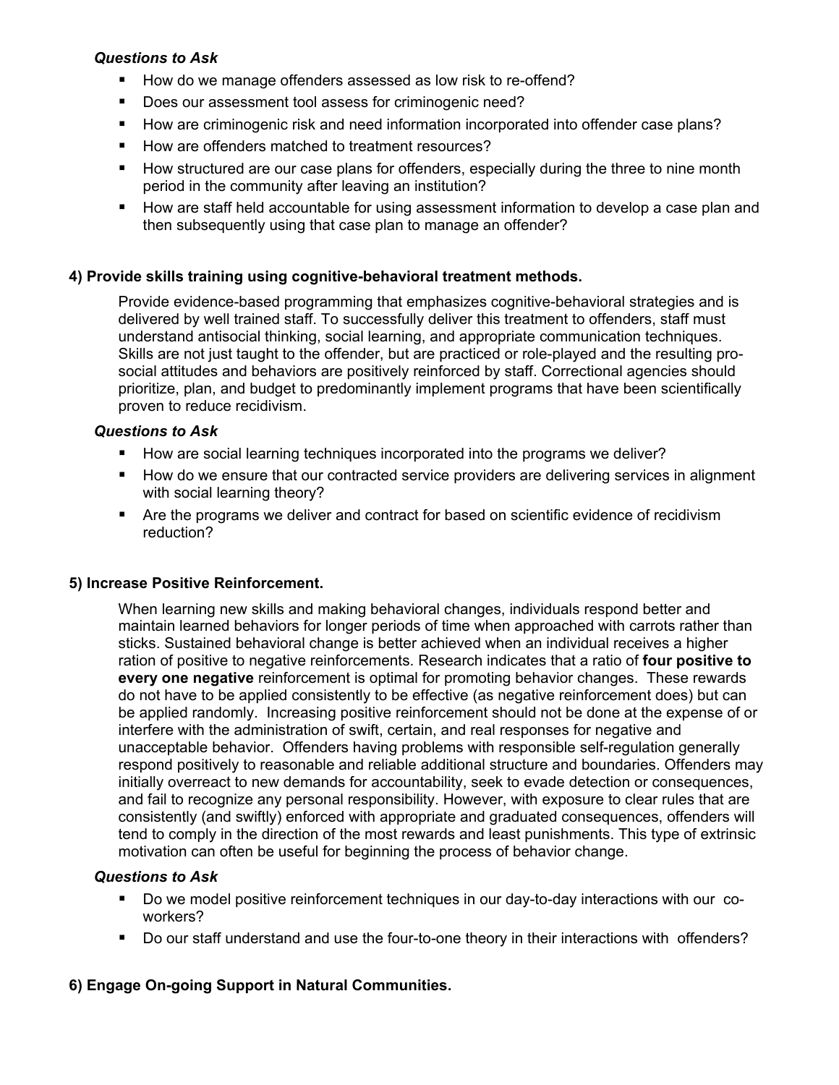## *Questions to Ask*

- How do we manage offenders assessed as low risk to re-offend?
- Does our assessment tool assess for criminogenic need?
- How are criminogenic risk and need information incorporated into offender case plans?
- How are offenders matched to treatment resources?
- How structured are our case plans for offenders, especially during the three to nine month period in the community after leaving an institution?
- How are staff held accountable for using assessment information to develop a case plan and then subsequently using that case plan to manage an offender?

# **4) Provide skills training using cognitive-behavioral treatment methods.**

Provide evidence-based programming that emphasizes cognitive-behavioral strategies and is delivered by well trained staff. To successfully deliver this treatment to offenders, staff must understand antisocial thinking, social learning, and appropriate communication techniques. Skills are not just taught to the offender, but are practiced or role-played and the resulting prosocial attitudes and behaviors are positively reinforced by staff. Correctional agencies should prioritize, plan, and budget to predominantly implement programs that have been scientifically proven to reduce recidivism.

## *Questions to Ask*

- How are social learning techniques incorporated into the programs we deliver?
- How do we ensure that our contracted service providers are delivering services in alignment with social learning theory?
- Are the programs we deliver and contract for based on scientific evidence of recidivism reduction?

## **5) Increase Positive Reinforcement.**

When learning new skills and making behavioral changes, individuals respond better and maintain learned behaviors for longer periods of time when approached with carrots rather than sticks. Sustained behavioral change is better achieved when an individual receives a higher ration of positive to negative reinforcements. Research indicates that a ratio of **four positive to every one negative** reinforcement is optimal for promoting behavior changes. These rewards do not have to be applied consistently to be effective (as negative reinforcement does) but can be applied randomly. Increasing positive reinforcement should not be done at the expense of or interfere with the administration of swift, certain, and real responses for negative and unacceptable behavior. Offenders having problems with responsible self-regulation generally respond positively to reasonable and reliable additional structure and boundaries. Offenders may initially overreact to new demands for accountability, seek to evade detection or consequences, and fail to recognize any personal responsibility. However, with exposure to clear rules that are consistently (and swiftly) enforced with appropriate and graduated consequences, offenders will tend to comply in the direction of the most rewards and least punishments. This type of extrinsic motivation can often be useful for beginning the process of behavior change.

## *Questions to Ask*

- Do we model positive reinforcement techniques in our day-to-day interactions with our coworkers?
- Do our staff understand and use the four-to-one theory in their interactions with offenders?

## **6) Engage On-going Support in Natural Communities.**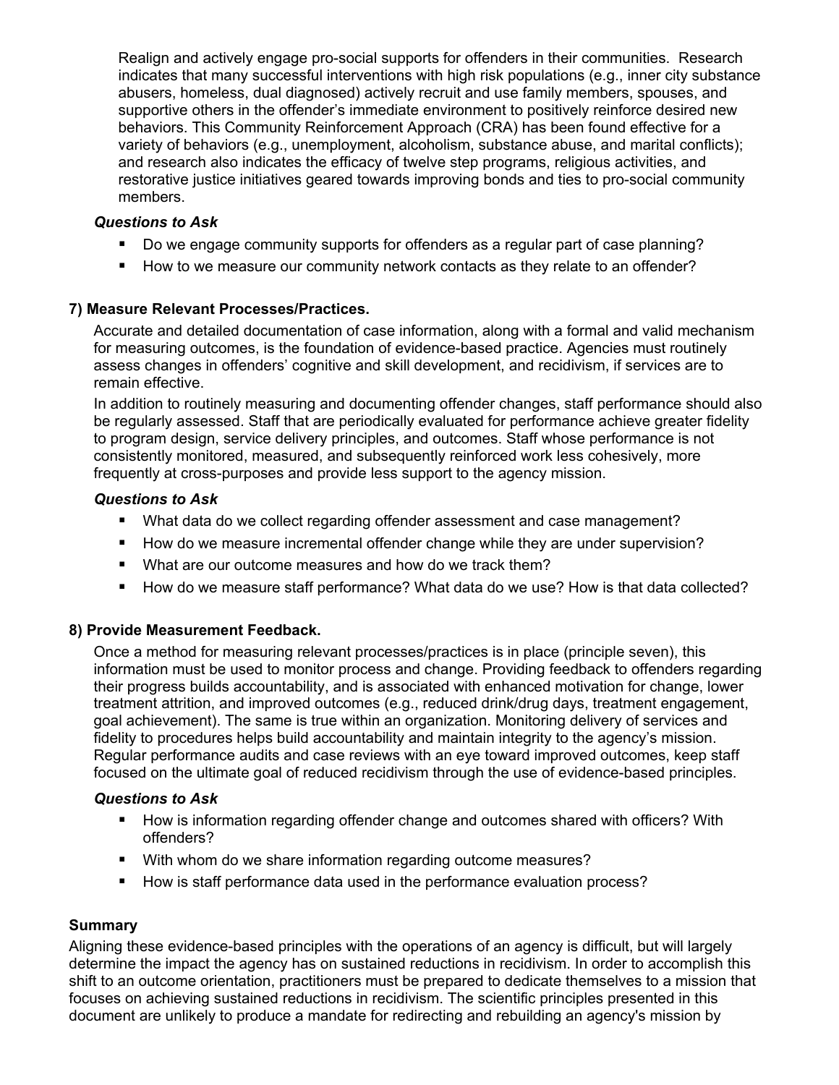Realign and actively engage pro-social supports for offenders in their communities. Research indicates that many successful interventions with high risk populations (e.g., inner city substance abusers, homeless, dual diagnosed) actively recruit and use family members, spouses, and supportive others in the offender's immediate environment to positively reinforce desired new behaviors. This Community Reinforcement Approach (CRA) has been found effective for a variety of behaviors (e.g., unemployment, alcoholism, substance abuse, and marital conflicts); and research also indicates the efficacy of twelve step programs, religious activities, and restorative justice initiatives geared towards improving bonds and ties to pro-social community members.

## *Questions to Ask*

- Do we engage community supports for offenders as a regular part of case planning?
- How to we measure our community network contacts as they relate to an offender?

### **7) Measure Relevant Processes/Practices.**

Accurate and detailed documentation of case information, along with a formal and valid mechanism for measuring outcomes, is the foundation of evidence-based practice. Agencies must routinely assess changes in offenders' cognitive and skill development, and recidivism, if services are to remain effective.

In addition to routinely measuring and documenting offender changes, staff performance should also be regularly assessed. Staff that are periodically evaluated for performance achieve greater fidelity to program design, service delivery principles, and outcomes. Staff whose performance is not consistently monitored, measured, and subsequently reinforced work less cohesively, more frequently at cross-purposes and provide less support to the agency mission.

#### *Questions to Ask*

- What data do we collect regarding offender assessment and case management?
- How do we measure incremental offender change while they are under supervision?
- What are our outcome measures and how do we track them?
- How do we measure staff performance? What data do we use? How is that data collected?

## **8) Provide Measurement Feedback.**

Once a method for measuring relevant processes/practices is in place (principle seven), this information must be used to monitor process and change. Providing feedback to offenders regarding their progress builds accountability, and is associated with enhanced motivation for change, lower treatment attrition, and improved outcomes (e.g., reduced drink/drug days, treatment engagement, goal achievement). The same is true within an organization. Monitoring delivery of services and fidelity to procedures helps build accountability and maintain integrity to the agency's mission. Regular performance audits and case reviews with an eye toward improved outcomes, keep staff focused on the ultimate goal of reduced recidivism through the use of evidence-based principles.

### *Questions to Ask*

- How is information regarding offender change and outcomes shared with officers? With offenders?
- With whom do we share information regarding outcome measures?
- **How is staff performance data used in the performance evaluation process?**

## **Summary**

Aligning these evidence-based principles with the operations of an agency is difficult, but will largely determine the impact the agency has on sustained reductions in recidivism. In order to accomplish this shift to an outcome orientation, practitioners must be prepared to dedicate themselves to a mission that focuses on achieving sustained reductions in recidivism. The scientific principles presented in this document are unlikely to produce a mandate for redirecting and rebuilding an agency's mission by